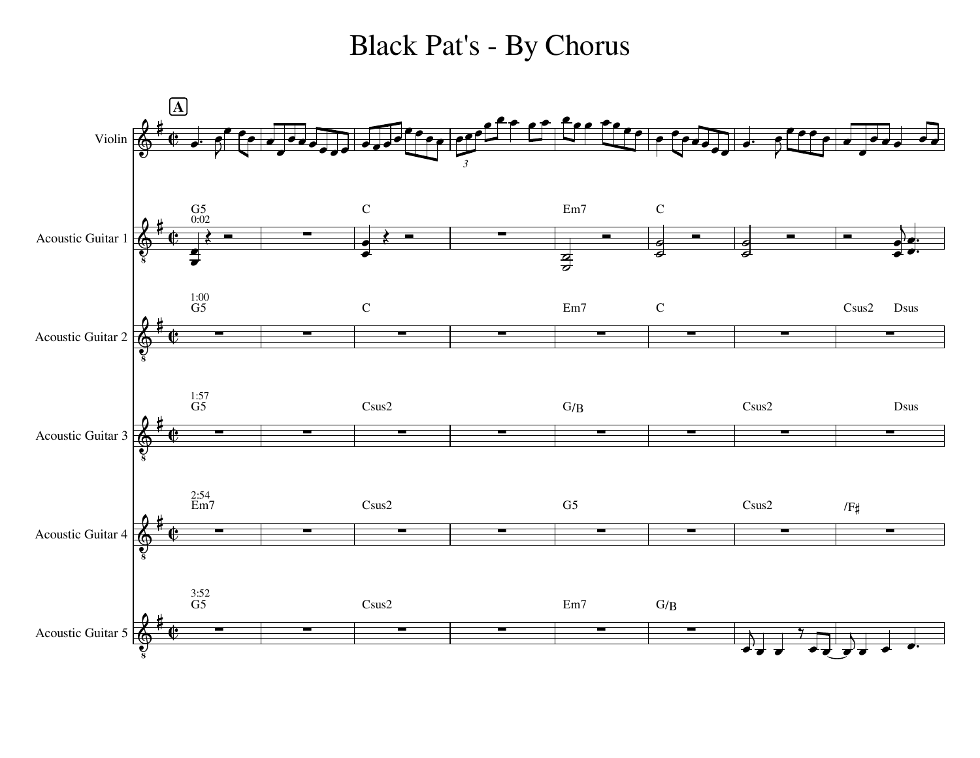## Black Pat's - By Chorus

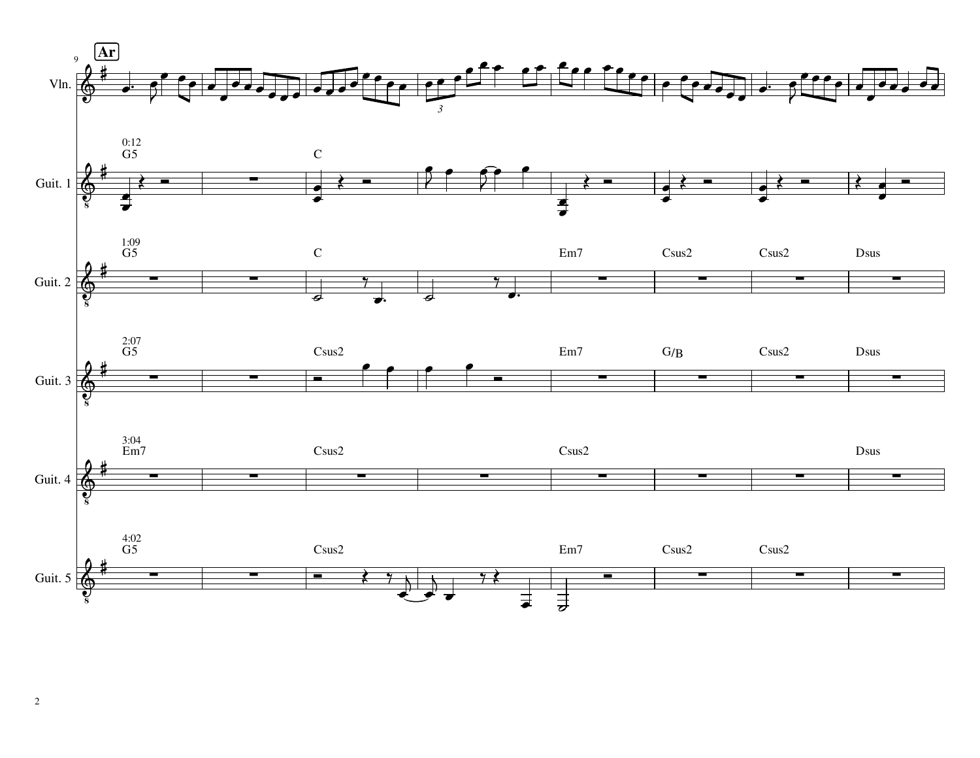

2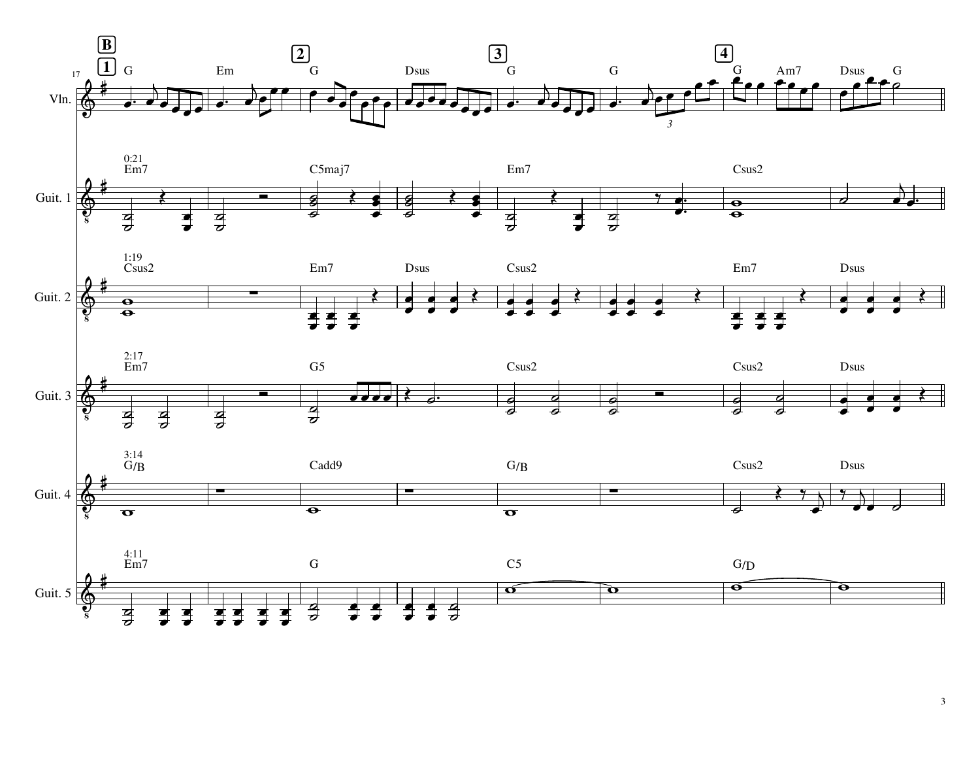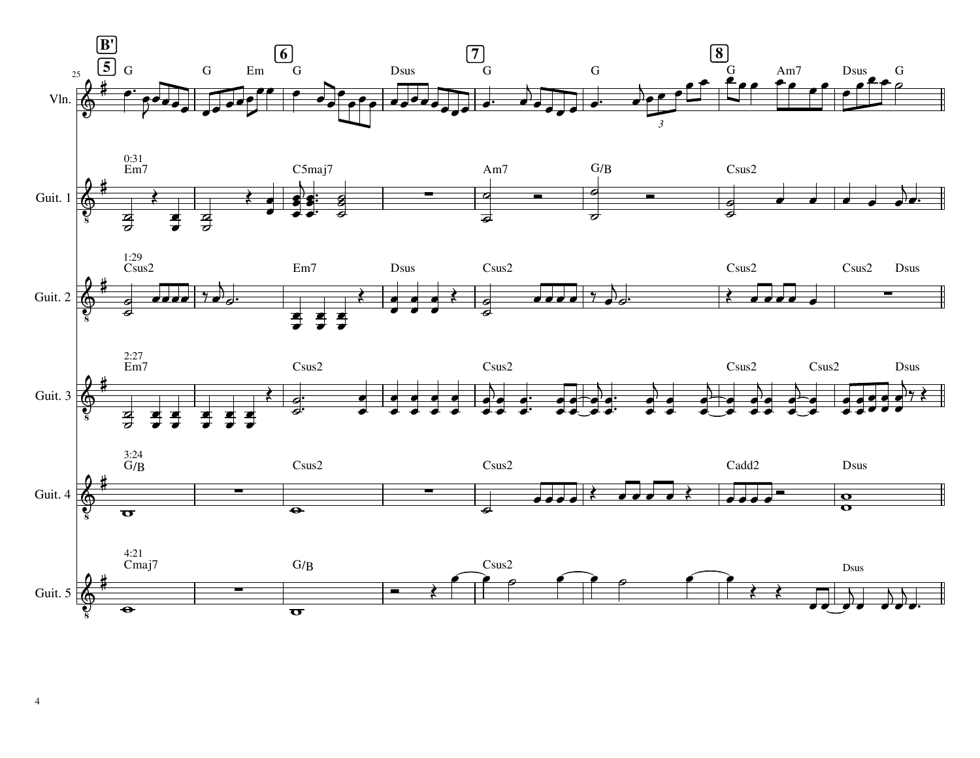

 $\overline{4}$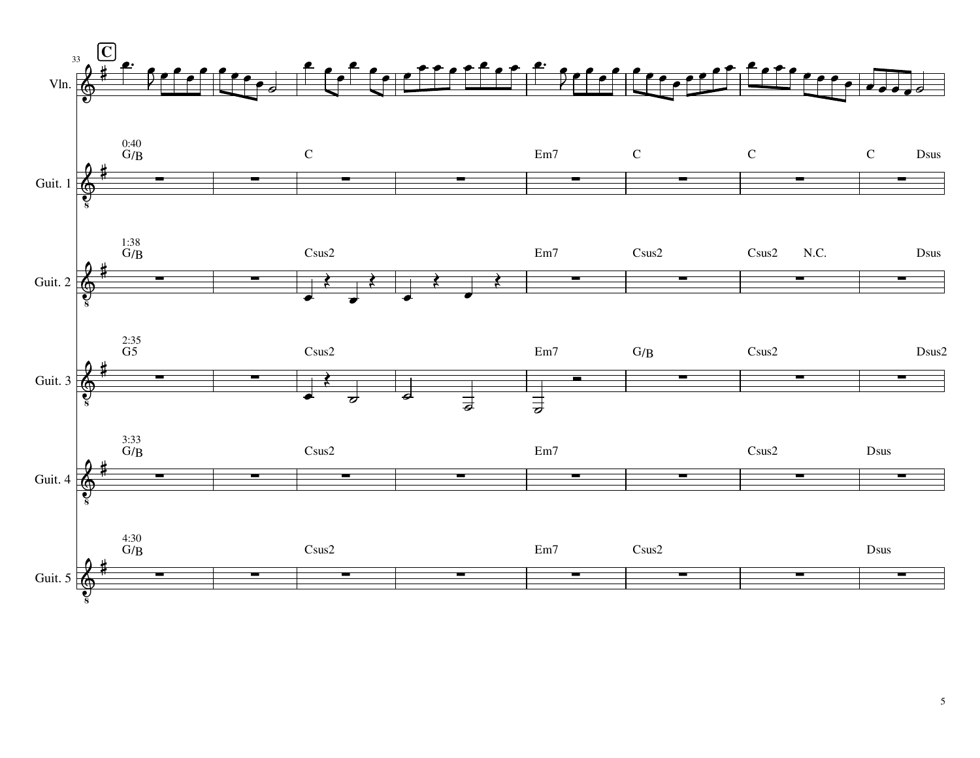